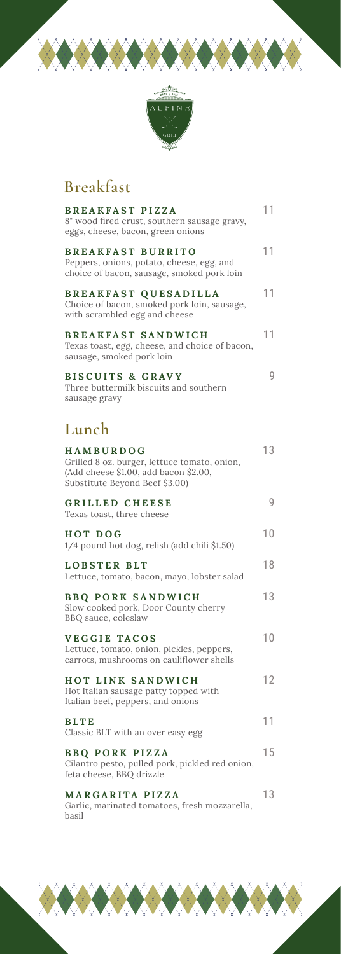

▓◆▓◆▓◆▓

## **Breakfast**

**XXXXXXX** 

| <b>BREAKFAST PIZZA</b><br>8" wood fired crust, southern sausage gravy,<br>eggs, cheese, bacon, green onions                                 | 11 |
|---------------------------------------------------------------------------------------------------------------------------------------------|----|
| <b>BREAKFAST BURRITO</b><br>Peppers, onions, potato, cheese, egg, and<br>choice of bacon, sausage, smoked pork loin                         | 11 |
| <b>BREAKFAST QUESADILLA</b><br>Choice of bacon, smoked pork loin, sausage,<br>with scrambled egg and cheese                                 | 11 |
| <b>BREAKFAST SANDWICH</b><br>Texas toast, egg, cheese, and choice of bacon,<br>sausage, smoked pork loin                                    | 11 |
| <b>BISCUITS &amp; GRAVY</b><br>Three buttermilk biscuits and southern<br>sausage gravy                                                      | 9  |
| Lunch                                                                                                                                       |    |
| <b>HAMBURDOG</b><br>Grilled 8 oz. burger, lettuce tomato, onion,<br>(Add cheese \$1.00, add bacon \$2.00,<br>Substitute Beyond Beef \$3.00) | 13 |
| GRILLED CHEESE<br>Texas toast, three cheese                                                                                                 | 9  |
| <b>HOT DOG</b><br>1/4 pound hot dog, relish (add chili \$1.50)                                                                              | 10 |
| LOBSTER BLT<br>Lettuce, tomato, bacon, mayo, lobster salad                                                                                  | 18 |
| <b>BBQ PORK SANDWICH</b><br>Slow cooked pork, Door County cherry<br>BBQ sauce, coleslaw                                                     | 13 |
| <b>VEGGIE TACOS</b><br>Lettuce, tomato, onion, pickles, peppers,<br>carrots, mushrooms on cauliflower shells                                | 10 |
| <b>HOT LINK SANDWICH</b><br>Hot Italian sausage patty topped with<br>Italian beef, peppers, and onions                                      | 12 |
| <b>BLTE</b><br>Classic BLT with an over easy egg                                                                                            | 11 |
| <b>BBQ PORK PIZZA</b><br>Cilantro pesto, pulled pork, pickled red onion,<br>feta cheese, BBQ drizzle                                        | 15 |
| MARGARITA PIZZA<br>Garlic, marinated tomatoes, fresh mozzarella,<br>basil                                                                   | 13 |